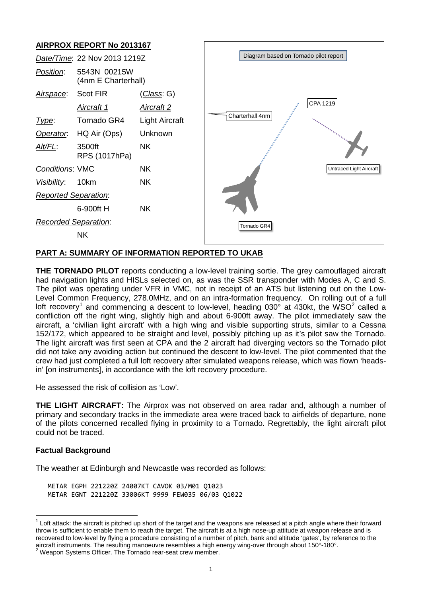# **AIRPROX REPORT No 2013167**



### **PART A: SUMMARY OF INFORMATION REPORTED TO UKAB**

**THE TORNADO PILOT** reports conducting a low-level training sortie. The grey camouflaged aircraft had navigation lights and HISLs selected on, as was the SSR transponder with Modes A, C and S. The pilot was operating under VFR in VMC, not in receipt of an ATS but listening out on the Low-Level Common Frequency, 278.0MHz, and on an intra-formation frequency. On rolling out of a full loft recovery<sup>[1](#page-0-0)</sup> and commencing a descent to low-level, heading 030 $^{\circ}$  at 430kt, the WSO<sup>[2](#page-0-1)</sup> called a confliction off the right wing, slightly high and about 6-900ft away. The pilot immediately saw the aircraft, a 'civilian light aircraft' with a high wing and visible supporting struts, similar to a Cessna 152/172, which appeared to be straight and level, possibly pitching up as it's pilot saw the Tornado. The light aircraft was first seen at CPA and the 2 aircraft had diverging vectors so the Tornado pilot did not take any avoiding action but continued the descent to low-level. The pilot commented that the crew had just completed a full loft recovery after simulated weapons release, which was flown 'headsin' [on instruments], in accordance with the loft recovery procedure.

He assessed the risk of collision as 'Low'.

**THE LIGHT AIRCRAFT:** The Airprox was not observed on area radar and, although a number of primary and secondary tracks in the immediate area were traced back to airfields of departure, none of the pilots concerned recalled flying in proximity to a Tornado. Regrettably, the light aircraft pilot could not be traced.

#### **Factual Background**

The weather at Edinburgh and Newcastle was recorded as follows:

METAR EGPH 221220Z 24007KT CAVOK 03/M01 Q1023 METAR EGNT 221220Z 33006KT 9999 FEW035 06/03 Q1022

<span id="page-0-1"></span>

<span id="page-0-0"></span> $1$  Loft attack: the aircraft is pitched up short of the target and the weapons are released at a pitch angle where their forward throw is sufficient to enable them to reach the target. The aircraft is at a high nose-up attitude at weapon release and is recovered to low-level by flying a procedure consisting of a number of pitch, bank and altitude 'gates', by reference to the aircraft instruments. The resulting manoeuvre resembles a high energy wing-over through about 150°-180°.<br><sup>2</sup> Weapon Systems Officer. The Tornado rear-seat crew member.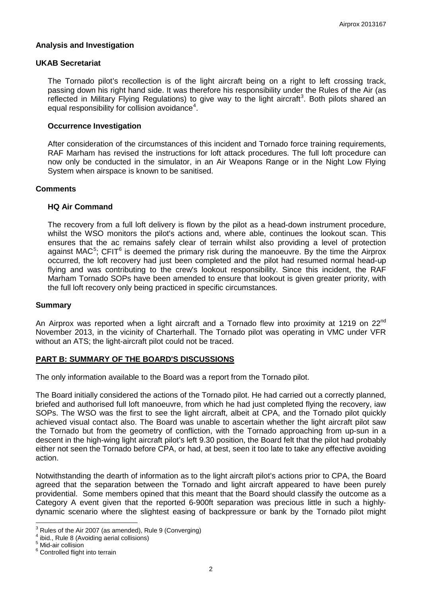### **Analysis and Investigation**

#### **UKAB Secretariat**

The Tornado pilot's recollection is of the light aircraft being on a right to left crossing track, passing down his right hand side. It was therefore his responsibility under the Rules of the Air (as reflected in Military Flying Regulations) to give way to the light aircraft<sup>[3](#page-1-0)</sup>. Both pilots shared an equal responsibility for collision avoidance $4$ .

### **Occurrence Investigation**

After consideration of the circumstances of this incident and Tornado force training requirements, RAF Marham has revised the instructions for loft attack procedures. The full loft procedure can now only be conducted in the simulator, in an Air Weapons Range or in the Night Low Flying System when airspace is known to be sanitised.

#### **Comments**

### **HQ Air Command**

The recovery from a full loft delivery is flown by the pilot as a head-down instrument procedure, whilst the WSO monitors the pilot's actions and, where able, continues the lookout scan. This ensures that the ac remains safely clear of terrain whilst also providing a level of protection against MAC<sup>[5](#page-1-2)</sup>; CFIT<sup>[6](#page-1-3)</sup> is deemed the primary risk during the manoeuvre. By the time the Airprox occurred, the loft recovery had just been completed and the pilot had resumed normal head-up flying and was contributing to the crew's lookout responsibility. Since this incident, the RAF Marham Tornado SOPs have been amended to ensure that lookout is given greater priority, with the full loft recovery only being practiced in specific circumstances.

#### **Summary**

An Airprox was reported when a light aircraft and a Tornado flew into proximity at 1219 on  $22^{\text{nd}}$ November 2013, in the vicinity of Charterhall. The Tornado pilot was operating in VMC under VFR without an ATS; the light-aircraft pilot could not be traced.

## **PART B: SUMMARY OF THE BOARD'S DISCUSSIONS**

The only information available to the Board was a report from the Tornado pilot.

The Board initially considered the actions of the Tornado pilot. He had carried out a correctly planned, briefed and authorised full loft manoeuvre, from which he had just completed flying the recovery, iaw SOPs. The WSO was the first to see the light aircraft, albeit at CPA, and the Tornado pilot quickly achieved visual contact also. The Board was unable to ascertain whether the light aircraft pilot saw the Tornado but from the geometry of confliction, with the Tornado approaching from up-sun in a descent in the high-wing light aircraft pilot's left 9.30 position, the Board felt that the pilot had probably either not seen the Tornado before CPA, or had, at best, seen it too late to take any effective avoiding action.

Notwithstanding the dearth of information as to the light aircraft pilot's actions prior to CPA, the Board agreed that the separation between the Tornado and light aircraft appeared to have been purely providential. Some members opined that this meant that the Board should classify the outcome as a Category A event given that the reported 6-900ft separation was precious little in such a highlydynamic scenario where the slightest easing of backpressure or bank by the Tornado pilot might

<span id="page-1-0"></span> $3$  Rules of the Air 2007 (as amended), Rule 9 (Converging)

<span id="page-1-1"></span><sup>&</sup>lt;sup>4</sup> ibid., Rule 8 (Avoiding aerial collisions)<br><sup>5</sup> Mid-air collision<br><sup>6</sup> Controlled flight into terrain

<span id="page-1-2"></span>

<span id="page-1-3"></span>